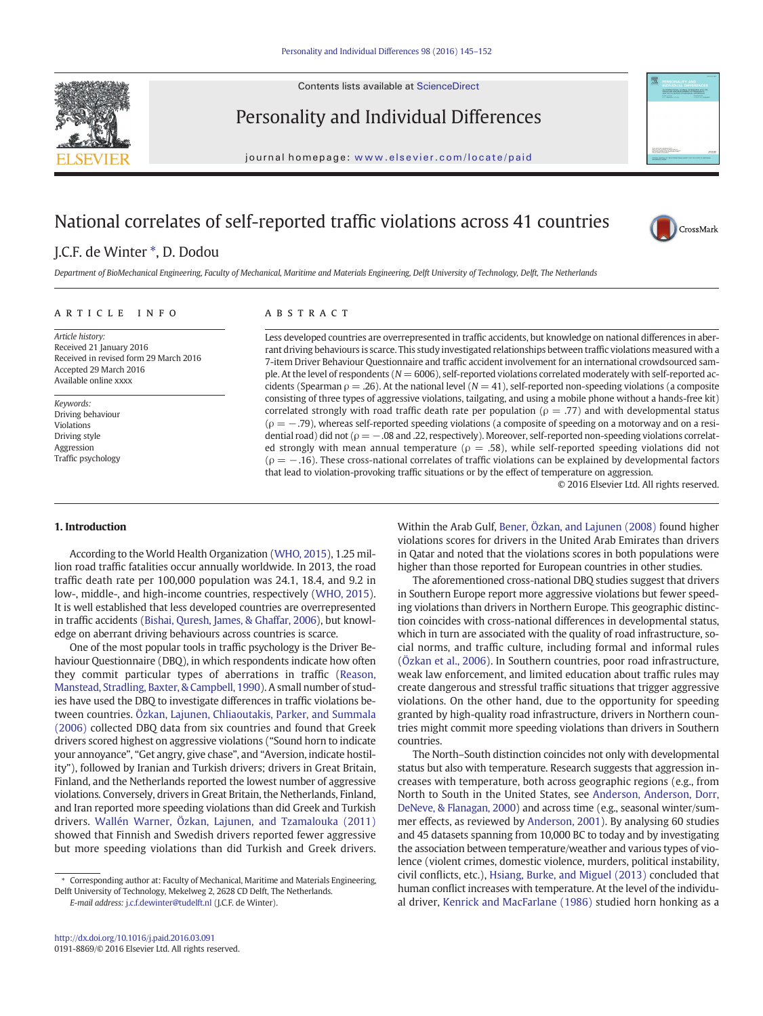Contents lists available at [ScienceDirect](http://www.sciencedirect.com/science/journal/)



Personality and Individual Differences

journal homepage: <www.elsevier.com/locate/paid>

# National correlates of self-reported traffic violations across 41 countries



## J.C.F. de Winter  $*$ , D. Dodou

Department of BioMechanical Engineering, Faculty of Mechanical, Maritime and Materials Engineering, Delft University of Technology, Delft, The Netherlands

#### article info abstract

Article history: Received 21 January 2016 Received in revised form 29 March 2016 Accepted 29 March 2016 Available online xxxx

Keywords: Driving behaviour Violations Driving style Aggression Traffic psychology

Less developed countries are overrepresented in traffic accidents, but knowledge on national differences in aberrant driving behaviours is scarce. This study investigated relationships between traffic violations measured with a 7-item Driver Behaviour Questionnaire and traffic accident involvement for an international crowdsourced sample. At the level of respondents ( $N = 6006$ ), self-reported violations correlated moderately with self-reported accidents (Spearman  $\rho = .26$ ). At the national level ( $N = 41$ ), self-reported non-speeding violations (a composite consisting of three types of aggressive violations, tailgating, and using a mobile phone without a hands-free kit) correlated strongly with road traffic death rate per population ( $\rho = .77$ ) and with developmental status  $(p = -.79)$ , whereas self-reported speeding violations (a composite of speeding on a motorway and on a residential road) did not ( $\rho = -.08$  and .22, respectively). Moreover, self-reported non-speeding violations correlated strongly with mean annual temperature ( $\rho = .58$ ), while self-reported speeding violations did not  $(p = -.16)$ . These cross-national correlates of traffic violations can be explained by developmental factors that lead to violation-provoking traffic situations or by the effect of temperature on aggression.

© 2016 Elsevier Ltd. All rights reserved.

#### 1. Introduction

According to the World Health Organization [\(WHO, 2015](#page--1-0)), 1.25 million road traffic fatalities occur annually worldwide. In 2013, the road traffic death rate per 100,000 population was 24.1, 18.4, and 9.2 in low-, middle-, and high-income countries, respectively [\(WHO, 2015](#page--1-0)). It is well established that less developed countries are overrepresented in traffic accidents ([Bishai, Quresh, James, & Ghaffar, 2006\)](#page--1-0), but knowledge on aberrant driving behaviours across countries is scarce.

One of the most popular tools in traffic psychology is the Driver Behaviour Questionnaire (DBQ), in which respondents indicate how often they commit particular types of aberrations in traffic ([Reason,](#page--1-0) [Manstead, Stradling, Baxter, & Campbell, 1990](#page--1-0)). A small number of studies have used the DBQ to investigate differences in traffic violations between countries. [Özkan, Lajunen, Chliaoutakis, Parker, and Summala](#page--1-0) [\(2006\)](#page--1-0) collected DBQ data from six countries and found that Greek drivers scored highest on aggressive violations ("Sound horn to indicate your annoyance", "Get angry, give chase", and "Aversion, indicate hostility"), followed by Iranian and Turkish drivers; drivers in Great Britain, Finland, and the Netherlands reported the lowest number of aggressive violations. Conversely, drivers in Great Britain, the Netherlands, Finland, and Iran reported more speeding violations than did Greek and Turkish drivers. [Wallén Warner, Özkan, Lajunen, and Tzamalouka \(2011\)](#page--1-0) showed that Finnish and Swedish drivers reported fewer aggressive but more speeding violations than did Turkish and Greek drivers.

E-mail address: [j.c.f.dewinter@tudelft.nl](mailto:j.c.f.dewinter@tudelft.nl) (J.C.F. de Winter).

Within the Arab Gulf, [Bener, Özkan, and Lajunen \(2008\)](#page--1-0) found higher violations scores for drivers in the United Arab Emirates than drivers in Qatar and noted that the violations scores in both populations were higher than those reported for European countries in other studies.

The aforementioned cross-national DBQ studies suggest that drivers in Southern Europe report more aggressive violations but fewer speeding violations than drivers in Northern Europe. This geographic distinction coincides with cross-national differences in developmental status, which in turn are associated with the quality of road infrastructure, social norms, and traffic culture, including formal and informal rules [\(Özkan et al., 2006\)](#page--1-0). In Southern countries, poor road infrastructure, weak law enforcement, and limited education about traffic rules may create dangerous and stressful traffic situations that trigger aggressive violations. On the other hand, due to the opportunity for speeding granted by high-quality road infrastructure, drivers in Northern countries might commit more speeding violations than drivers in Southern countries.

The North–South distinction coincides not only with developmental status but also with temperature. Research suggests that aggression increases with temperature, both across geographic regions (e.g., from North to South in the United States, see [Anderson, Anderson, Dorr,](#page--1-0) [DeNeve, & Flanagan, 2000\)](#page--1-0) and across time (e.g., seasonal winter/summer effects, as reviewed by [Anderson, 2001\)](#page--1-0). By analysing 60 studies and 45 datasets spanning from 10,000 BC to today and by investigating the association between temperature/weather and various types of violence (violent crimes, domestic violence, murders, political instability, civil conflicts, etc.), [Hsiang, Burke, and Miguel \(2013\)](#page--1-0) concluded that human conflict increases with temperature. At the level of the individual driver, [Kenrick and MacFarlane \(1986\)](#page--1-0) studied horn honking as a

<sup>⁎</sup> Corresponding author at: Faculty of Mechanical, Maritime and Materials Engineering, Delft University of Technology, Mekelweg 2, 2628 CD Delft, The Netherlands.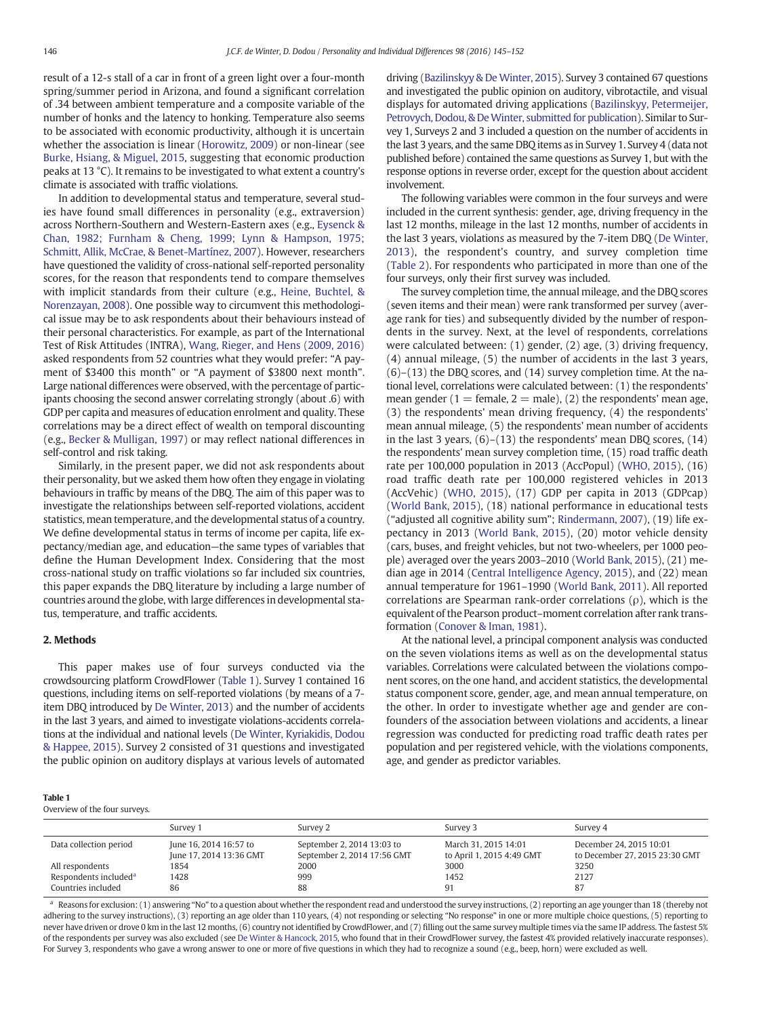result of a 12-s stall of a car in front of a green light over a four-month spring/summer period in Arizona, and found a significant correlation of .34 between ambient temperature and a composite variable of the number of honks and the latency to honking. Temperature also seems to be associated with economic productivity, although it is uncertain whether the association is linear [\(Horowitz, 2009\)](#page--1-0) or non-linear (see [Burke, Hsiang, & Miguel, 2015](#page--1-0), suggesting that economic production peaks at 13 °C). It remains to be investigated to what extent a country's climate is associated with traffic violations.

In addition to developmental status and temperature, several studies have found small differences in personality (e.g., extraversion) across Northern-Southern and Western-Eastern axes (e.g., [Eysenck &](#page--1-0) [Chan, 1982; Furnham & Cheng, 1999; Lynn & Hampson, 1975;](#page--1-0) [Schmitt, Allik, McCrae, & Benet-Martínez, 2007](#page--1-0)). However, researchers have questioned the validity of cross-national self-reported personality scores, for the reason that respondents tend to compare themselves with implicit standards from their culture (e.g., [Heine, Buchtel, &](#page--1-0) [Norenzayan, 2008\)](#page--1-0). One possible way to circumvent this methodological issue may be to ask respondents about their behaviours instead of their personal characteristics. For example, as part of the International Test of Risk Attitudes (INTRA), [Wang, Rieger, and Hens \(2009, 2016\)](#page--1-0) asked respondents from 52 countries what they would prefer: "A payment of \$3400 this month" or "A payment of \$3800 next month". Large national differences were observed, with the percentage of participants choosing the second answer correlating strongly (about .6) with GDP per capita and measures of education enrolment and quality. These correlations may be a direct effect of wealth on temporal discounting (e.g., [Becker & Mulligan, 1997](#page--1-0)) or may reflect national differences in self-control and risk taking.

Similarly, in the present paper, we did not ask respondents about their personality, but we asked them how often they engage in violating behaviours in traffic by means of the DBQ. The aim of this paper was to investigate the relationships between self-reported violations, accident statistics, mean temperature, and the developmental status of a country. We define developmental status in terms of income per capita, life expectancy/median age, and education—the same types of variables that define the Human Development Index. Considering that the most cross-national study on traffic violations so far included six countries, this paper expands the DBQ literature by including a large number of countries around the globe, with large differences in developmental status, temperature, and traffic accidents.

### 2. Methods

This paper makes use of four surveys conducted via the crowdsourcing platform CrowdFlower (Table 1). Survey 1 contained 16 questions, including items on self-reported violations (by means of a 7 item DBQ introduced by [De Winter, 2013\)](#page--1-0) and the number of accidents in the last 3 years, and aimed to investigate violations-accidents correlations at the individual and national levels [\(De Winter, Kyriakidis, Dodou](#page--1-0) [& Happee, 2015\)](#page--1-0). Survey 2 consisted of 31 questions and investigated the public opinion on auditory displays at various levels of automated driving [\(Bazilinskyy & De Winter, 2015](#page--1-0)). Survey 3 contained 67 questions and investigated the public opinion on auditory, vibrotactile, and visual displays for automated driving applications [\(Bazilinskyy, Petermeijer,](#page--1-0) Petrovych, Dodou, & De Winter, submitted for publication). Similar to Survey 1, Surveys 2 and 3 included a question on the number of accidents in the last 3 years, and the same DBQ items as in Survey 1. Survey 4 (data not published before) contained the same questions as Survey 1, but with the response options in reverse order, except for the question about accident involvement.

The following variables were common in the four surveys and were included in the current synthesis: gender, age, driving frequency in the last 12 months, mileage in the last 12 months, number of accidents in the last 3 years, violations as measured by the 7-item DBQ [\(De Winter,](#page--1-0) [2013](#page--1-0)), the respondent's country, and survey completion time [\(Table 2\)](#page--1-0). For respondents who participated in more than one of the four surveys, only their first survey was included.

The survey completion time, the annual mileage, and the DBQ scores (seven items and their mean) were rank transformed per survey (average rank for ties) and subsequently divided by the number of respondents in the survey. Next, at the level of respondents, correlations were calculated between: (1) gender, (2) age, (3) driving frequency, (4) annual mileage, (5) the number of accidents in the last 3 years, (6)–(13) the DBQ scores, and (14) survey completion time. At the national level, correlations were calculated between: (1) the respondents' mean gender (1 = female, 2 = male), (2) the respondents' mean age, (3) the respondents' mean driving frequency, (4) the respondents' mean annual mileage, (5) the respondents' mean number of accidents in the last 3 years, (6)–(13) the respondents' mean DBQ scores, (14) the respondents' mean survey completion time, (15) road traffic death rate per 100,000 population in 2013 (AccPopul) ([WHO, 2015\)](#page--1-0), (16) road traffic death rate per 100,000 registered vehicles in 2013 (AccVehic) ([WHO, 2015\)](#page--1-0), (17) GDP per capita in 2013 (GDPcap) [\(World Bank, 2015](#page--1-0)), (18) national performance in educational tests ("adjusted all cognitive ability sum"; [Rindermann, 2007](#page--1-0)), (19) life expectancy in 2013 ([World Bank, 2015](#page--1-0)), (20) motor vehicle density (cars, buses, and freight vehicles, but not two-wheelers, per 1000 people) averaged over the years 2003–2010 ([World Bank, 2015](#page--1-0)), (21) median age in 2014 [\(Central Intelligence Agency, 2015\)](#page--1-0), and (22) mean annual temperature for 1961–1990 ([World Bank, 2011\)](#page--1-0). All reported correlations are Spearman rank-order correlations  $(\rho)$ , which is the equivalent of the Pearson product–moment correlation after rank transformation ([Conover & Iman, 1981](#page--1-0)).

At the national level, a principal component analysis was conducted on the seven violations items as well as on the developmental status variables. Correlations were calculated between the violations component scores, on the one hand, and accident statistics, the developmental status component score, gender, age, and mean annual temperature, on the other. In order to investigate whether age and gender are confounders of the association between violations and accidents, a linear regression was conducted for predicting road traffic death rates per population and per registered vehicle, with the violations components, age, and gender as predictor variables.

#### Table 1

Overview of the four surveys.

|                                   | Survey 1                                          | Survey 2                                                  | Survey 3                                          | Survey 4                                                  |
|-----------------------------------|---------------------------------------------------|-----------------------------------------------------------|---------------------------------------------------|-----------------------------------------------------------|
| Data collection period            | June 16, 2014 16:57 to<br>June 17, 2014 13:36 GMT | September 2, 2014 13:03 to<br>September 2, 2014 17:56 GMT | March 31, 2015 14:01<br>to April 1, 2015 4:49 GMT | December 24, 2015 10:01<br>to December 27, 2015 23:30 GMT |
| All respondents                   | 1854                                              | 2000                                                      | 3000                                              | 3250                                                      |
| Respondents included <sup>a</sup> | 1428                                              | 999                                                       | 1452                                              | 2127                                                      |
| Countries included                | 86                                                | 88                                                        | 91                                                | 87                                                        |

<sup>a</sup> Reasons for exclusion: (1) answering "No" to a question about whether the respondent read and understood the survey instructions, (2) reporting an age younger than 18 (thereby not adhering to the survey instructions), (3) reporting an age older than 110 years, (4) not responding or selecting "No response" in one or more multiple choice questions, (5) reporting to never have driven or drove 0 km in the last 12 months, (6) country not identified by CrowdFlower, and (7) filling out the same survey multiple times via the same IP address. The fastest 5% of the respondents per survey was also excluded (see [De Winter & Hancock, 2015,](#page--1-0) who found that in their CrowdFlower survey, the fastest 4% provided relatively inaccurate responses). For Survey 3, respondents who gave a wrong answer to one or more of five questions in which they had to recognize a sound (e.g., beep, horn) were excluded as well.